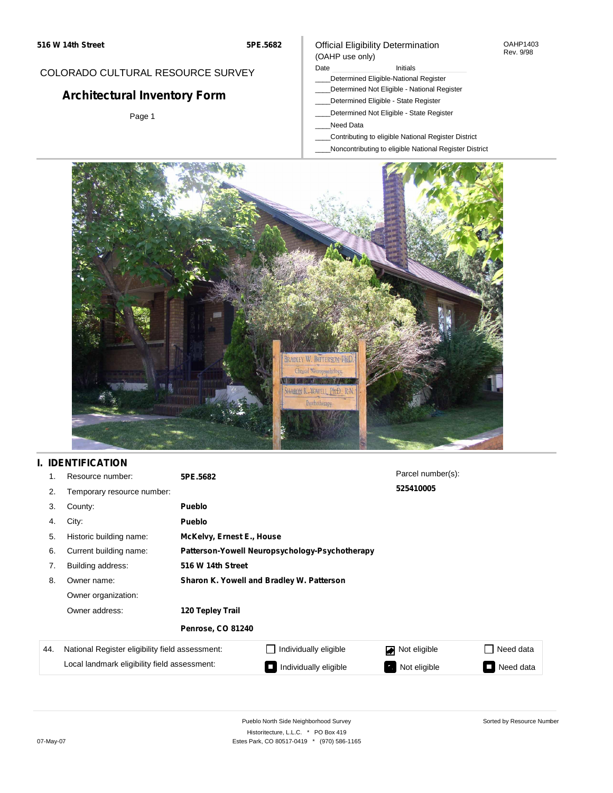## COLORADO CULTURAL RESOURCE SURVEY

# **Architectural Inventory Form**

Page 1

#### Official Eligibility Determination (OAHP use only)

#### Date **Initials** Initials

- \_\_\_\_Determined Eligible-National Register
- \_\_\_\_Determined Not Eligible National Register
- \_\_\_\_Determined Eligible State Register
- \_\_\_\_Determined Not Eligible State Register
- \_\_\_\_Need Data
- \_\_\_\_Contributing to eligible National Register District
- \_\_\_\_Noncontributing to eligible National Register District



# **I. IDENTIFICATION**

|     | Resource number:                                | 5PE.5682                                       |                                           | Parcel number(s): |                                       |  |
|-----|-------------------------------------------------|------------------------------------------------|-------------------------------------------|-------------------|---------------------------------------|--|
| 2.  | Temporary resource number:                      |                                                |                                           | 525410005         |                                       |  |
| 3.  | County:                                         | <b>Pueblo</b>                                  |                                           |                   |                                       |  |
| 4.  | City:                                           | <b>Pueblo</b>                                  |                                           |                   |                                       |  |
| 5.  | Historic building name:                         |                                                | McKelvy, Ernest E., House                 |                   |                                       |  |
| 6.  | Current building name:                          | Patterson-Yowell Neuropsychology-Psychotherapy |                                           |                   |                                       |  |
| 7.  | Building address:                               | 516 W 14th Street                              |                                           |                   |                                       |  |
| 8.  | Owner name:                                     |                                                | Sharon K. Yowell and Bradley W. Patterson |                   |                                       |  |
|     | Owner organization:                             |                                                |                                           |                   |                                       |  |
|     | Owner address:                                  | 120 Tepley Trail                               |                                           |                   |                                       |  |
|     |                                                 | <b>Penrose, CO 81240</b>                       |                                           |                   |                                       |  |
| 44. | National Register eligibility field assessment: |                                                | Individually eligible                     | Not eligible      | Need data                             |  |
|     | Local landmark eligibility field assessment:    |                                                | Individually eligible                     | Not eligible      | Need data<br>$\overline{\phantom{0}}$ |  |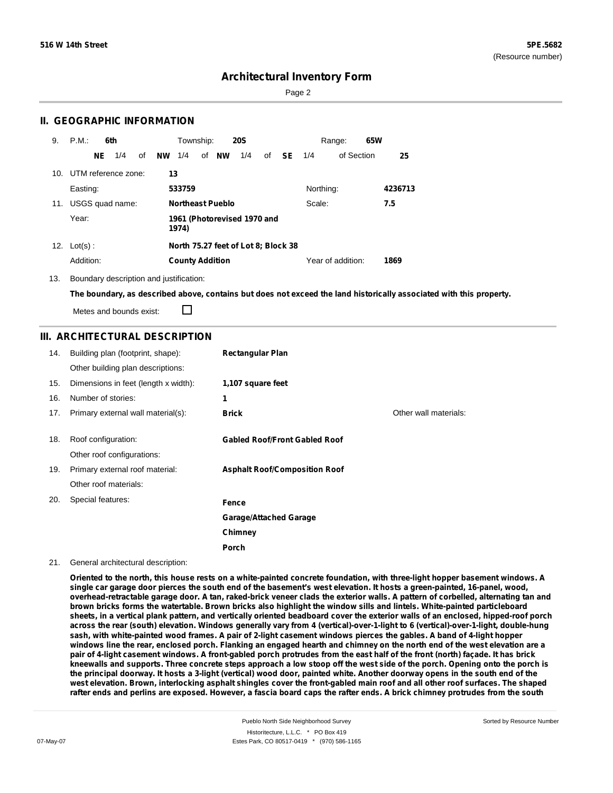Page 2

## **II. GEOGRAPHIC INFORMATION**

| 9.  | P.M.                |    | 6th             |    |    | Township:              |                         | <b>20S</b>                          |    |               |           | Range:            | 65W |         |
|-----|---------------------|----|-----------------|----|----|------------------------|-------------------------|-------------------------------------|----|---------------|-----------|-------------------|-----|---------|
|     |                     | NE | 1/4             | of | NW | 1/4                    | of <b>NW</b>            | 1/4                                 | of | <b>SE</b> 1/4 |           | of Section        |     | 25      |
| 10. | UTM reference zone: |    |                 |    | 13 |                        |                         |                                     |    |               |           |                   |     |         |
|     | Easting:            |    |                 |    |    | 533759                 |                         |                                     |    |               | Northing: |                   |     | 4236713 |
| 11. |                     |    | USGS quad name: |    |    |                        | <b>Northeast Pueblo</b> |                                     |    |               | Scale:    |                   |     | 7.5     |
|     | Year:               |    |                 |    |    | 1974)                  |                         | 1961 (Photorevised 1970 and         |    |               |           |                   |     |         |
|     | 12. $Lot(s)$ :      |    |                 |    |    |                        |                         | North 75.27 feet of Lot 8; Block 38 |    |               |           |                   |     |         |
|     | Addition:           |    |                 |    |    | <b>County Addition</b> |                         |                                     |    |               |           | Year of addition: |     | 1869    |

13. Boundary description and justification:

The boundary, as described above, contains but does not exceed the land historically associated with this property.

Metes and bounds exist:

П

## **III. ARCHITECTURAL DESCRIPTION**

| 14. | Building plan (footprint, shape):    | <b>Rectangular Plan</b>              |                       |
|-----|--------------------------------------|--------------------------------------|-----------------------|
|     | Other building plan descriptions:    |                                      |                       |
| 15. | Dimensions in feet (length x width): | 1,107 square feet                    |                       |
| 16. | Number of stories:                   | 1                                    |                       |
| 17. | Primary external wall material(s):   | <b>Brick</b>                         | Other wall materials: |
|     |                                      |                                      |                       |
| 18. | Roof configuration:                  | <b>Gabled Roof/Front Gabled Roof</b> |                       |
|     | Other roof configurations:           |                                      |                       |
| 19. | Primary external roof material:      | <b>Asphalt Roof/Composition Roof</b> |                       |
|     | Other roof materials:                |                                      |                       |
| 20. | Special features:                    | Fence                                |                       |
|     |                                      | <b>Garage/Attached Garage</b>        |                       |
|     |                                      | Chimney                              |                       |
|     |                                      | <b>Porch</b>                         |                       |

#### 21. General architectural description:

Oriented to the north, this house rests on a white-painted concrete foundation, with three-light hopper basement windows. A single car garage door pierces the south end of the basement's west elevation. It hosts a green-painted, 16-panel, wood, overhead-retractable garage door. A tan, raked-brick veneer clads the exterior walls. A pattern of corbelled, alternating tan and brown bricks forms the watertable. Brown bricks also highlight the window sills and lintels. White-painted particleboard sheets, in a vertical plank pattern, and vertically oriented beadboard cover the exterior walls of an enclosed, hipped-roof porch across the rear (south) elevation. Windows generally vary from 4 (vertical)-over-1-light to 6 (vertical)-over-1-light, double-hung sash, with white-painted wood frames. A pair of 2-light casement windows pierces the gables. A band of 4-light hopper windows line the rear, enclosed porch. Flanking an engaged hearth and chimney on the north end of the west elevation are a pair of 4-light casement windows. A front-gabled porch protrudes from the east half of the front (north) façade. It has brick kneewalls and supports. Three concrete steps approach a low stoop off the west side of the porch. Opening onto the porch is the principal doorway. It hosts a 3-light (vertical) wood door, painted white. Another doorway opens in the south end of the west elevation. Brown, interlocking asphalt shingles cover the front-gabled main roof and all other roof surfaces. The shaped rafter ends and perlins are exposed. However, a fascia board caps the rafter ends. A brick chimney protrudes from the south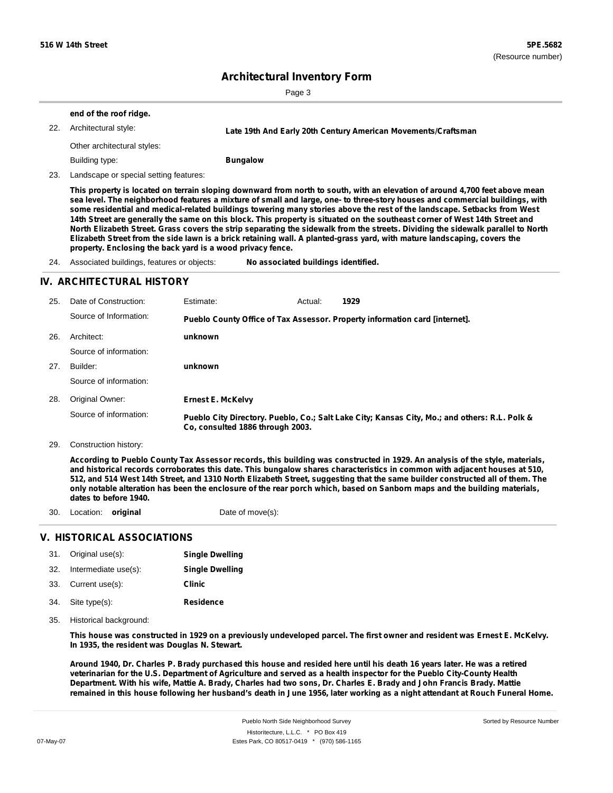Page 3

|     | end of the roof ridge.      |                                                               |  |
|-----|-----------------------------|---------------------------------------------------------------|--|
| 22. | Architectural style:        | Late 19th And Early 20th Century American Movements/Craftsman |  |
|     | Other architectural styles: |                                                               |  |
|     | Building type:              | <b>Bungalow</b>                                               |  |
|     |                             |                                                               |  |

23. Landscape or special setting features:

This property is located on terrain sloping downward from north to south, with an elevation of around 4,700 feet above mean sea level. The neighborhood features a mixture of small and large, one- to three-story houses and commercial buildings, with some residential and medical-related buildings towering many stories above the rest of the landscape. Setbacks from West 14th Street are generally the same on this block. This property is situated on the southeast corner of West 14th Street and North Elizabeth Street. Grass covers the strip separating the sidewalk from the streets. Dividing the sidewalk parallel to North Elizabeth Street from the side lawn is a brick retaining wall. A planted-grass yard, with mature landscaping, covers the **property. Enclosing the back yard is a wood privacy fence.**

24. Associated buildings, features or objects: **No associated buildings identified.**

## **IV. ARCHITECTURAL HISTORY**

| 25. | Date of Construction:  | Estimate:                        | Actual: | 1929                                                                                          |  |
|-----|------------------------|----------------------------------|---------|-----------------------------------------------------------------------------------------------|--|
|     | Source of Information: |                                  |         | Pueblo County Office of Tax Assessor. Property information card [internet].                   |  |
| 26. | Architect:             | unknown                          |         |                                                                                               |  |
|     | Source of information: |                                  |         |                                                                                               |  |
| 27. | Builder:               | unknown                          |         |                                                                                               |  |
|     | Source of information: |                                  |         |                                                                                               |  |
| 28. | Original Owner:        | <b>Ernest E. McKelvy</b>         |         |                                                                                               |  |
|     | Source of information: | Co. consulted 1886 through 2003. |         | Pueblo City Directory. Pueblo, Co.; Salt Lake City; Kansas City, Mo.; and others: R.L. Polk & |  |

29. Construction history:

According to Pueblo County Tax Assessor records, this building was constructed in 1929. An analysis of the style, materials, and historical records corroborates this date. This bungalow shares characteristics in common with adjacent houses at 510, 512, and 514 West 14th Street, and 1310 North Elizabeth Street, suggesting that the same builder constructed all of them. The only notable alteration has been the enclosure of the rear porch which, based on Sanborn maps and the building materials, **dates to before 1940.**

30. Location: **original** Date of move(s):

## **V. HISTORICAL ASSOCIATIONS**

| 31.  | Original use(s):     | <b>Single Dwelling</b> |
|------|----------------------|------------------------|
| -32. | Intermediate use(s): | <b>Single Dwelling</b> |
| 33.  | Current use(s):      | Clinic                 |
| 34.  | Site type(s):        | <b>Residence</b>       |

35. Historical background:

This house was constructed in 1929 on a previously undeveloped parcel. The first owner and resident was Ernest E. McKelvy. **In 1935, the resident was Douglas N. Stewart.**

Around 1940, Dr. Charles P. Brady purchased this house and resided here until his death 16 years later. He was a retired veterinarian for the U.S. Department of Agriculture and served as a health inspector for the Pueblo City-County Health Department. With his wife, Mattie A. Brady, Charles had two sons, Dr. Charles E. Brady and John Francis Brady. Mattie remained in this house following her husband's death in June 1956, later working as a night attendant at Rouch Funeral Home.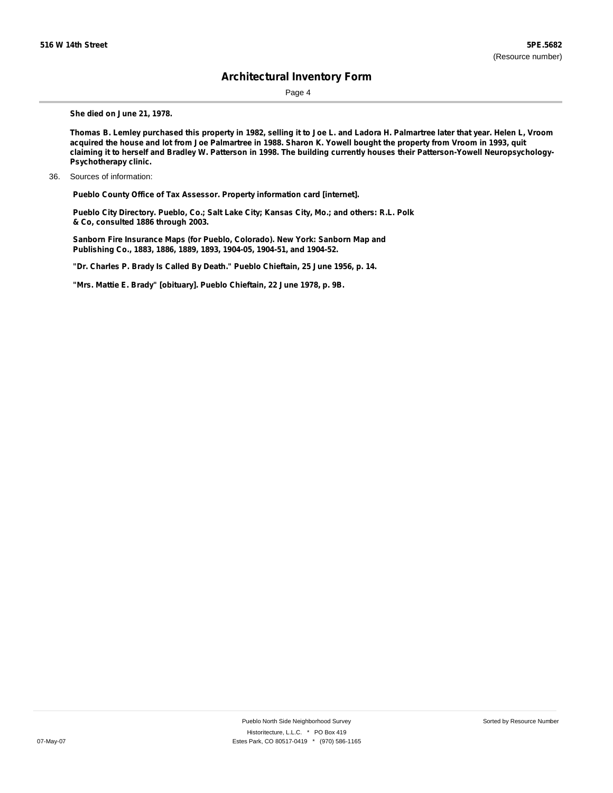Page 4

**She died on June 21, 1978.**

Thomas B. Lemley purchased this property in 1982, selling it to Joe L. and Ladora H. Palmartree later that year. Helen L, Vroom acquired the house and lot from Joe Palmartree in 1988. Sharon K. Yowell bought the property from Vroom in 1993, quit claiming it to herself and Bradley W. Patterson in 1998. The building currently houses their Patterson-Yowell Neuropsychology-**Psychotherapy clinic.**

36. Sources of information:

**Pueblo County Office of Tax Assessor. Property information card [internet].**

**Pueblo City Directory. Pueblo, Co.; Salt Lake City; Kansas City, Mo.; and others: R.L. Polk & Co, consulted 1886 through 2003.**

**Sanborn Fire Insurance Maps (for Pueblo, Colorado). New York: Sanborn Map and Publishing Co., 1883, 1886, 1889, 1893, 1904-05, 1904-51, and 1904-52.**

**"Dr. Charles P. Brady Is Called By Death." Pueblo Chieftain, 25 June 1956, p. 14.**

**"Mrs. Mattie E. Brady" [obituary]. Pueblo Chieftain, 22 June 1978, p. 9B.**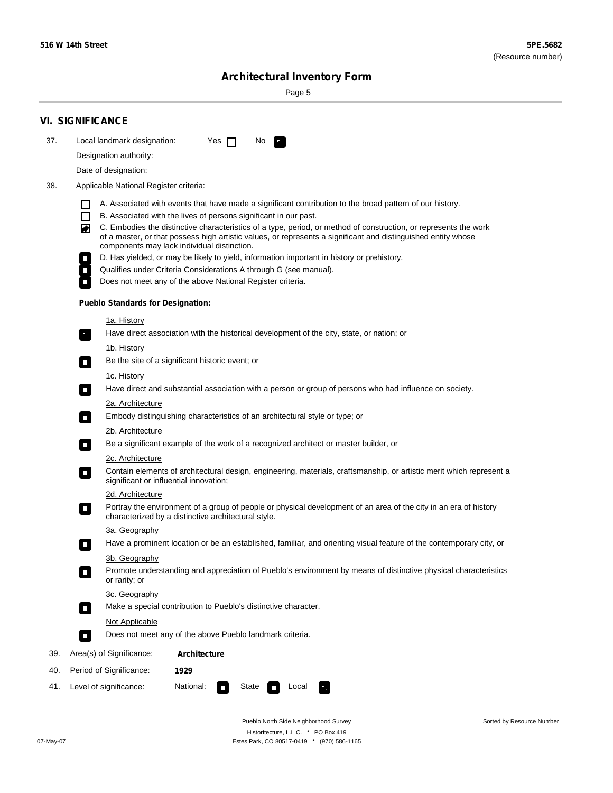$\sim$ 

Sorted by Resource Number

# **Architectural Inventory Form**

Page 5

|     | <b>VI. SIGNIFICANCE</b>                                                                                                                                                                                                                                                                                                                                                                                                                                                                |
|-----|----------------------------------------------------------------------------------------------------------------------------------------------------------------------------------------------------------------------------------------------------------------------------------------------------------------------------------------------------------------------------------------------------------------------------------------------------------------------------------------|
| 37. | Local landmark designation:<br>Yes $\Box$<br>No.                                                                                                                                                                                                                                                                                                                                                                                                                                       |
|     | Designation authority:                                                                                                                                                                                                                                                                                                                                                                                                                                                                 |
|     | Date of designation:                                                                                                                                                                                                                                                                                                                                                                                                                                                                   |
| 38. | Applicable National Register criteria:                                                                                                                                                                                                                                                                                                                                                                                                                                                 |
|     | A. Associated with events that have made a significant contribution to the broad pattern of our history.<br>1 I<br>$\Box$<br>B. Associated with the lives of persons significant in our past.<br>C. Embodies the distinctive characteristics of a type, period, or method of construction, or represents the work<br>◙<br>of a master, or that possess high artistic values, or represents a significant and distinguished entity whose<br>components may lack individual distinction. |
|     | D. Has yielded, or may be likely to yield, information important in history or prehistory.                                                                                                                                                                                                                                                                                                                                                                                             |
|     | Qualifies under Criteria Considerations A through G (see manual).                                                                                                                                                                                                                                                                                                                                                                                                                      |
|     | Does not meet any of the above National Register criteria.                                                                                                                                                                                                                                                                                                                                                                                                                             |
|     | <b>Pueblo Standards for Designation:</b>                                                                                                                                                                                                                                                                                                                                                                                                                                               |
|     | <u>1a. History</u><br>Have direct association with the historical development of the city, state, or nation; or                                                                                                                                                                                                                                                                                                                                                                        |
|     | 1b. History<br>Be the site of a significant historic event; or<br>$\mathcal{L}_{\mathcal{A}}$                                                                                                                                                                                                                                                                                                                                                                                          |
|     | <u>1c. History</u><br>Have direct and substantial association with a person or group of persons who had influence on society.<br>$\blacksquare$                                                                                                                                                                                                                                                                                                                                        |
|     | 2a. Architecture                                                                                                                                                                                                                                                                                                                                                                                                                                                                       |
|     | Embody distinguishing characteristics of an architectural style or type; or<br>$\overline{\phantom{a}}$                                                                                                                                                                                                                                                                                                                                                                                |
|     | <u>2b. Architecture</u>                                                                                                                                                                                                                                                                                                                                                                                                                                                                |
|     | Be a significant example of the work of a recognized architect or master builder, or<br>$\overline{\phantom{a}}$                                                                                                                                                                                                                                                                                                                                                                       |
|     | <b>2c. Architecture</b>                                                                                                                                                                                                                                                                                                                                                                                                                                                                |
|     | Contain elements of architectural design, engineering, materials, craftsmanship, or artistic merit which represent a<br>О<br>significant or influential innovation;                                                                                                                                                                                                                                                                                                                    |
|     | 2d. Architecture                                                                                                                                                                                                                                                                                                                                                                                                                                                                       |
|     | Portray the environment of a group of people or physical development of an area of the city in an era of history<br>$\Box$<br>characterized by a distinctive architectural style.                                                                                                                                                                                                                                                                                                      |
|     | 3a. Geography                                                                                                                                                                                                                                                                                                                                                                                                                                                                          |
|     | Have a prominent location or be an established, familiar, and orienting visual feature of the contemporary city, or<br>П                                                                                                                                                                                                                                                                                                                                                               |
|     | 3b. Geography<br>Promote understanding and appreciation of Pueblo's environment by means of distinctive physical characteristics<br>or rarity; or                                                                                                                                                                                                                                                                                                                                      |
|     | 3c. Geography<br>Make a special contribution to Pueblo's distinctive character.<br>$\overline{\phantom{a}}$                                                                                                                                                                                                                                                                                                                                                                            |
|     | <b>Not Applicable</b>                                                                                                                                                                                                                                                                                                                                                                                                                                                                  |
|     | Does not meet any of the above Pueblo landmark criteria.<br>$\sim$                                                                                                                                                                                                                                                                                                                                                                                                                     |
| 39. | Area(s) of Significance:<br><b>Architecture</b>                                                                                                                                                                                                                                                                                                                                                                                                                                        |
| 40. | Period of Significance:<br>1929                                                                                                                                                                                                                                                                                                                                                                                                                                                        |
| 41. | National:<br>Level of significance:<br>State<br>Local                                                                                                                                                                                                                                                                                                                                                                                                                                  |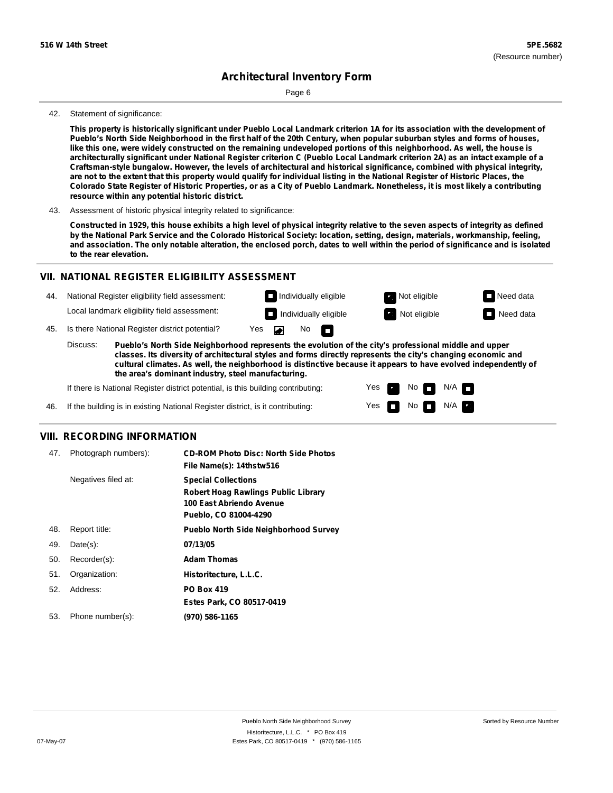Page 6

#### 42. Statement of significance:

This property is historically significant under Pueblo Local Landmark criterion 1A for its association with the development of Pueblo's North Side Neighborhood in the first half of the 20th Century, when popular suburban styles and forms of houses, like this one, were widely constructed on the remaining undeveloped portions of this neighborhood. As well, the house is architecturally significant under National Register criterion C (Pueblo Local Landmark criterion 2A) as an intact example of a **Craftsman-style bungalow. However, the levels of architectural and historical significance, combined with physical integrity,** are not to the extent that this property would qualify for individual listing in the National Register of Historic Places, the Colorado State Register of Historic Properties, or as a City of Pueblo Landmark. Nonetheless, it is most likely a contributing **resource within any potential historic district.**

43. Assessment of historic physical integrity related to significance:

Constructed in 1929, this house exhibits a high level of physical integrity relative to the seven aspects of integrity as defined by the National Park Service and the Colorado Historical Society: location, setting, design, materials, workmanship, feeling, and association. The only notable alteration, the enclosed porch, dates to well within the period of significance and is isolated **to the rear elevation.**

#### **VII. NATIONAL REGISTER ELIGIBILITY ASSESSMENT**

National Register eligibility field assessment: 44. Local landmark eligibility field assessment:

**Individually eligible Not eligible** Not eligible **Need data Individually eligible Not eligible Not eligible Need data** 

No<sub>D</sub>

45. Is there National Register district potential? Yes

**Pueblo's North Side Neighborhood represents the evolution of the city's professional middle and upper classes. Its diversity of architectural styles and forms directly represents the city's changing economic and cultural climates. As well, the neighborhood is distinctive because it appears to have evolved independently of the area's dominant industry, steel manufacturing.** Discuss:

 $\blacksquare$ 

Yes Yes No

 $No$  N/A

 $N/A$   $\Box$ 

If there is National Register district potential, is this building contributing:



#### **VIII. RECORDING INFORMATION**

| 47. | Photograph numbers): | <b>CD-ROM Photo Disc: North Side Photos</b><br>File Name(s): 14thstw516                                                       |
|-----|----------------------|-------------------------------------------------------------------------------------------------------------------------------|
|     | Negatives filed at:  | <b>Special Collections</b><br><b>Robert Hoag Rawlings Public Library</b><br>100 East Abriendo Avenue<br>Pueblo, CO 81004-4290 |
| 48. | Report title:        | <b>Pueblo North Side Neighborhood Survey</b>                                                                                  |
| 49. | $Date(s)$ :          | 07/13/05                                                                                                                      |
| 50. | Recorder(s):         | <b>Adam Thomas</b>                                                                                                            |
| 51. | Organization:        | Historitecture, L.L.C.                                                                                                        |
| 52. | Address:             | <b>PO Box 419</b>                                                                                                             |
|     |                      | Estes Park, CO 80517-0419                                                                                                     |
| 53. | Phone number(s):     | (970) 586-1165                                                                                                                |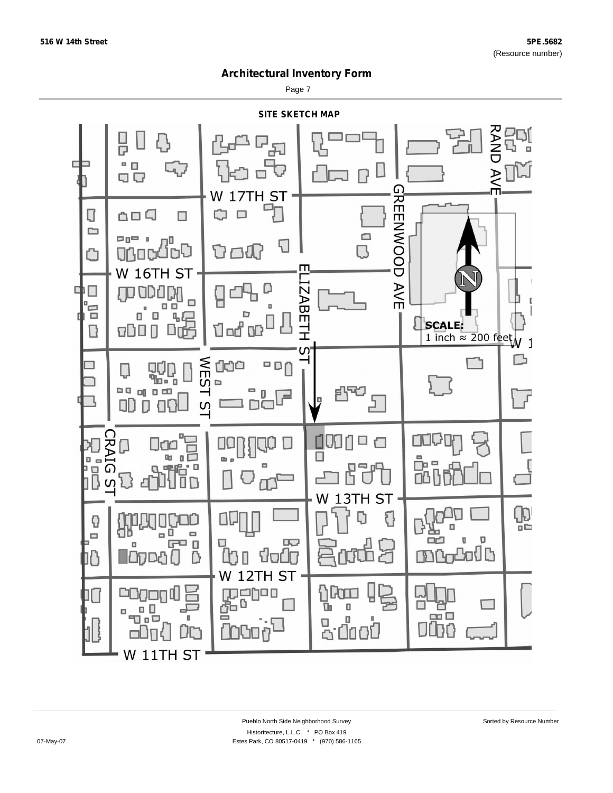Page 7